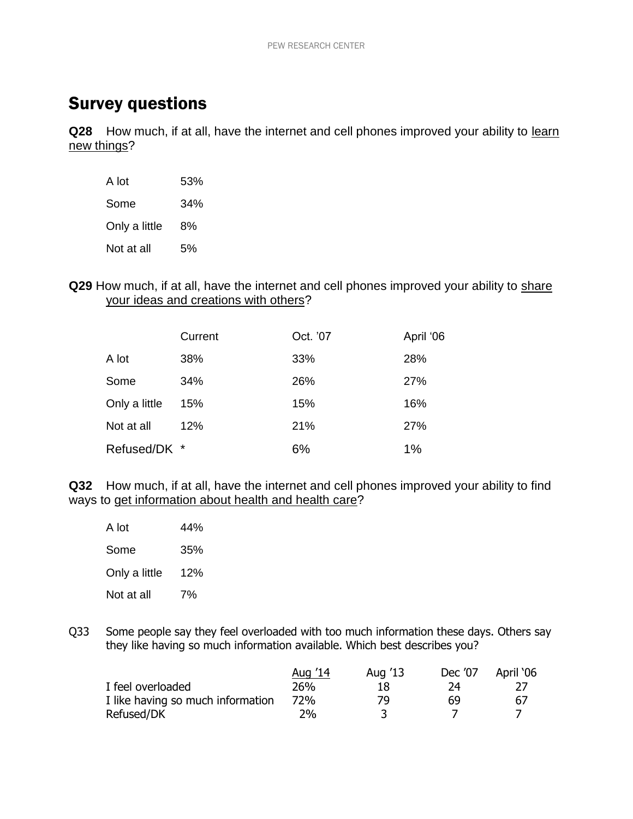## Survey questions

**Q28** How much, if at all, have the internet and cell phones improved your ability to learn new things?

| A lot         | 53% |
|---------------|-----|
| Some          | 34% |
| Only a little | 8%  |
| Not at all    | 5%  |

**Q29** How much, if at all, have the internet and cell phones improved your ability to share your ideas and creations with others?

|               | Current | Oct. '07 | April '06 |
|---------------|---------|----------|-----------|
| A lot         | 38%     | 33%      | 28%       |
| Some          | 34%     | 26%      | 27%       |
| Only a little | 15%     | 15%      | 16%       |
| Not at all    | 12%     | 21%      | 27%       |
| Refused/DK *  |         | 6%       | 1%        |

**Q32** How much, if at all, have the internet and cell phones improved your ability to find ways to get information about health and health care?

| A lot         | 44% |
|---------------|-----|
| Some          | 35% |
| Only a little | 12% |
| Not at all    | 7%  |

Q33 Some people say they feel overloaded with too much information these days. Others say they like having so much information available. Which best describes you?

|                                   | Aug '14    | Aug '13 | Dec '07 | April '06 |
|-----------------------------------|------------|---------|---------|-----------|
| I feel overloaded                 | 26%        | 18      | 74      |           |
| I like having so much information | <b>72%</b> | 79      | 69      | 67        |
| Refused/DK                        | $2\%$      |         |         |           |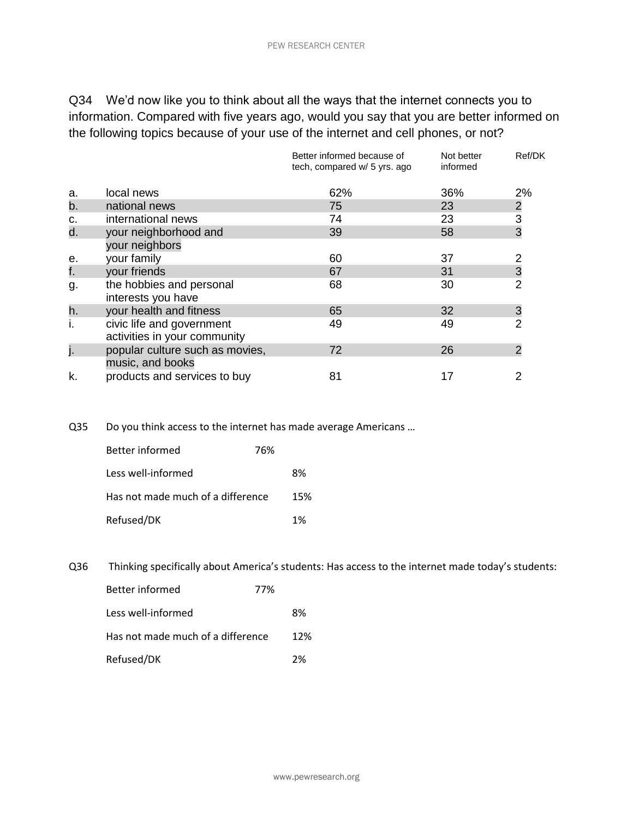Q34 We'd now like you to think about all the ways that the internet connects you to information. Compared with five years ago, would you say that you are better informed on the following topics because of your use of the internet and cell phones, or not?

|    |                                                           | Better informed because of<br>tech, compared w/ 5 yrs. ago | Not better<br>informed | Ref/DK         |
|----|-----------------------------------------------------------|------------------------------------------------------------|------------------------|----------------|
| a. | local news                                                | 62%                                                        | 36%                    | 2%             |
| b. | national news                                             | 75                                                         | 23                     |                |
| c. | international news                                        | 74                                                         | 23                     | $\frac{2}{3}$  |
| d. | your neighborhood and                                     | 39                                                         | 58                     |                |
|    | your neighbors                                            |                                                            |                        |                |
| е. | your family                                               | 60                                                         | 37                     |                |
| f. | your friends                                              | 67                                                         | 31                     | 3              |
| g. | the hobbies and personal<br>interests you have            | 68                                                         | 30                     | $\overline{2}$ |
| h. | your health and fitness                                   | 65                                                         | 32                     | 3              |
| ı. | civic life and government<br>activities in your community | 49                                                         | 49                     | $\overline{2}$ |
| j. | popular culture such as movies,<br>music, and books       | 72                                                         | 26                     | $\overline{2}$ |
| k. | products and services to buy                              | 81                                                         | 17                     |                |

Q35 Do you think access to the internet has made average Americans …

| Better informed                   | 76% |     |
|-----------------------------------|-----|-----|
| Less well-informed                |     | 8%  |
| Has not made much of a difference |     | 15% |
| Refused/DK                        |     | 1%  |

Q36 Thinking specifically about America's students: Has access to the internet made today's students:

| Better informed                   | 77% |     |
|-----------------------------------|-----|-----|
| Less well-informed                |     | 8%  |
| Has not made much of a difference |     | 12% |
| Refused/DK                        |     | 2%  |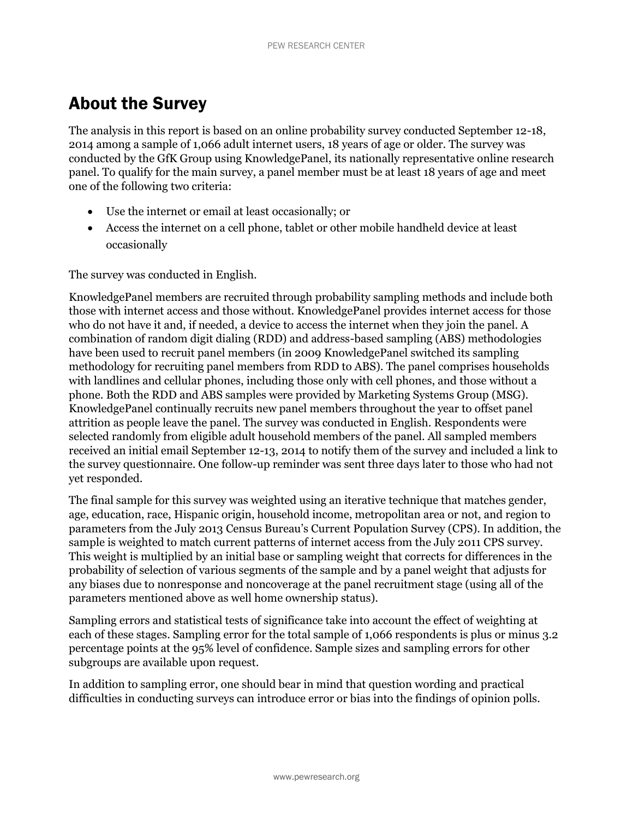## About the Survey

The analysis in this report is based on an online probability survey conducted September 12-18, 2014 among a sample of 1,066 adult internet users, 18 years of age or older. The survey was conducted by the GfK Group using KnowledgePanel, its nationally representative online research panel. To qualify for the main survey, a panel member must be at least 18 years of age and meet one of the following two criteria:

- Use the internet or email at least occasionally; or
- Access the internet on a cell phone, tablet or other mobile handheld device at least occasionally

The survey was conducted in English.

KnowledgePanel members are recruited through probability sampling methods and include both those with internet access and those without. KnowledgePanel provides internet access for those who do not have it and, if needed, a device to access the internet when they join the panel. A combination of random digit dialing (RDD) and address-based sampling (ABS) methodologies have been used to recruit panel members (in 2009 KnowledgePanel switched its sampling methodology for recruiting panel members from RDD to ABS). The panel comprises households with landlines and cellular phones, including those only with cell phones, and those without a phone. Both the RDD and ABS samples were provided by Marketing Systems Group (MSG). KnowledgePanel continually recruits new panel members throughout the year to offset panel attrition as people leave the panel. The survey was conducted in English. Respondents were selected randomly from eligible adult household members of the panel. All sampled members received an initial email September 12-13, 2014 to notify them of the survey and included a link to the survey questionnaire. One follow-up reminder was sent three days later to those who had not yet responded.

The final sample for this survey was weighted using an iterative technique that matches gender, age, education, race, Hispanic origin, household income, metropolitan area or not, and region to parameters from the July 2013 Census Bureau's Current Population Survey (CPS). In addition, the sample is weighted to match current patterns of internet access from the July 2011 CPS survey. This weight is multiplied by an initial base or sampling weight that corrects for differences in the probability of selection of various segments of the sample and by a panel weight that adjusts for any biases due to nonresponse and noncoverage at the panel recruitment stage (using all of the parameters mentioned above as well home ownership status).

Sampling errors and statistical tests of significance take into account the effect of weighting at each of these stages. Sampling error for the total sample of 1,066 respondents is plus or minus 3.2 percentage points at the 95% level of confidence. Sample sizes and sampling errors for other subgroups are available upon request.

In addition to sampling error, one should bear in mind that question wording and practical difficulties in conducting surveys can introduce error or bias into the findings of opinion polls.